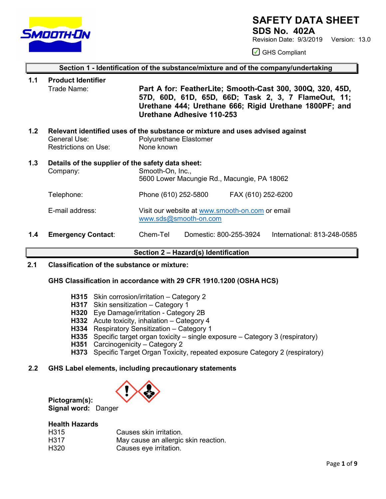

**1.1 Product Identifier**

### **SAFETY DATA SHEET**

**SDS No. 402A**

Revision Date: 9/3/2019 Version: 13.0

**◯** GHS Compliant

### **Section 1 - Identification of the substance/mixture and of the company/undertaking**

- Trade Name: **Part A for: FeatherLite; Smooth-Cast 300, 300Q, 320, 45D, 57D, 60D, 61D, 65D, 66D; Task 2, 3, 7 FlameOut, 11; Urethane 444; Urethane 666; Rigid Urethane 1800PF; and Urethane Adhesive 110-253 1.2 Relevant identified uses of the substance or mixture and uses advised against**  Polyurethane Elastomer Restrictions on Use: None known **1.3 Details of the supplier of the safety data sheet:** Company: Smooth-On, Inc., 5600 Lower Macungie Rd., Macungie, PA 18062 Telephone: Phone (610) 252-5800 FAX (610) 252-6200 E-mail address: Visit our website at [www.smooth-on.com](http://www.smooth-on.com/) or email [www.sds@smooth-on.com](http://www.sds@smooth-on.com)
- **1.4 Emergency Contact**: Chem-Tel Domestic: 800-255-3924 International: 813-248-0585

### **Section 2 – Hazard(s) Identification**

**2.1 Classification of the substance or mixture:**

### **GHS Classification in accordance with 29 CFR 1910.1200 (OSHA HCS)**

- **H315** Skin corrosion/irritation Category 2
- **H317** Skin sensitization Category 1
- **H320** Eye Damage/irritation Category 2B
- **H332** Acute toxicity, inhalation Category 4
- **H334** Respiratory Sensitization Category 1
- **H335** Specific target organ toxicity single exposure Category 3 (respiratory)
- **H351** Carcinogenicity Category 2
- **H373** Specific Target Organ Toxicity, repeated exposure Category 2 (respiratory)

### **2.2 GHS Label elements, including precautionary statements**



**Pictogram(s): Signal word:** Danger

### **Health Hazards**

| H315 | Causes skin irritation.              |
|------|--------------------------------------|
| H317 | May cause an allergic skin reaction. |
| H320 | Causes eye irritation.               |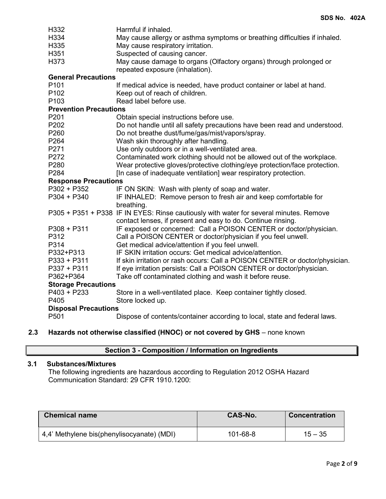| H332<br>H334<br>H335<br>H351  | Harmful if inhaled.<br>May cause allergy or asthma symptoms or breathing difficulties if inhaled.<br>May cause respiratory irritation.<br>Suspected of causing cancer. |
|-------------------------------|------------------------------------------------------------------------------------------------------------------------------------------------------------------------|
| H373                          | May cause damage to organs (Olfactory organs) through prolonged or<br>repeated exposure (inhalation).                                                                  |
| <b>General Precautions</b>    |                                                                                                                                                                        |
| P <sub>101</sub>              | If medical advice is needed, have product container or label at hand.                                                                                                  |
| P <sub>102</sub>              | Keep out of reach of children.                                                                                                                                         |
| P <sub>103</sub>              | Read label before use.                                                                                                                                                 |
| <b>Prevention Precautions</b> |                                                                                                                                                                        |
| P201                          | Obtain special instructions before use.                                                                                                                                |
| P202                          | Do not handle until all safety precautions have been read and understood.                                                                                              |
| P260                          | Do not breathe dust/fume/gas/mist/vapors/spray.                                                                                                                        |
| P264                          | Wash skin thoroughly after handling.                                                                                                                                   |
| P271                          | Use only outdoors or in a well-ventilated area.                                                                                                                        |
| P272                          | Contaminated work clothing should not be allowed out of the workplace.                                                                                                 |
| P280                          | Wear protective gloves/protective clothing/eye protection/face protection.                                                                                             |
| P284                          | [In case of inadequate ventilation] wear respiratory protection.                                                                                                       |
| <b>Response Precautions</b>   |                                                                                                                                                                        |
| P302 + P352                   | IF ON SKIN: Wash with plenty of soap and water.                                                                                                                        |
| $P304 + P340$                 | IF INHALED: Remove person to fresh air and keep comfortable for<br>breathing.                                                                                          |
|                               | P305 + P351 + P338 IF IN EYES: Rinse cautiously with water for several minutes. Remove<br>contact lenses, if present and easy to do. Continue rinsing.                 |
| $P308 + P311$                 | IF exposed or concerned: Call a POISON CENTER or doctor/physician.                                                                                                     |
| P312                          | Call a POISON CENTER or doctor/physician if you feel unwell.                                                                                                           |
| P314                          | Get medical advice/attention if you feel unwell.                                                                                                                       |
| P332+P313                     | IF SKIN irritation occurs: Get medical advice/attention.                                                                                                               |
| P333 + P311                   | If skin irritation or rash occurs: Call a POISON CENTER or doctor/physician.                                                                                           |
| P337 + P311                   | If eye irritation persists: Call a POISON CENTER or doctor/physician.                                                                                                  |
| P362+P364                     | Take off contaminated clothing and wash it before reuse.                                                                                                               |
| <b>Storage Precautions</b>    |                                                                                                                                                                        |
| P403 + P233                   | Store in a well-ventilated place. Keep container tightly closed.                                                                                                       |
| P405                          | Store locked up.                                                                                                                                                       |
| <b>Disposal Precautions</b>   |                                                                                                                                                                        |
| P501                          | Dispose of contents/container according to local, state and federal laws.                                                                                              |
|                               |                                                                                                                                                                        |

**2.3 Hazards not otherwise classified (HNOC) or not covered by GHS** – none known

### **Section 3 - Composition / Information on Ingredients**

### **3.1 Substances/Mixtures**

The following ingredients are hazardous according to Regulation 2012 OSHA Hazard Communication Standard: 29 CFR 1910.1200:

| <b>Chemical name</b>                       | <b>CAS-No.</b> | <b>Concentration</b> |
|--------------------------------------------|----------------|----------------------|
| 4,4' Methylene bis(phenylisocyanate) (MDI) | $101 - 68 - 8$ | $15 - 35$            |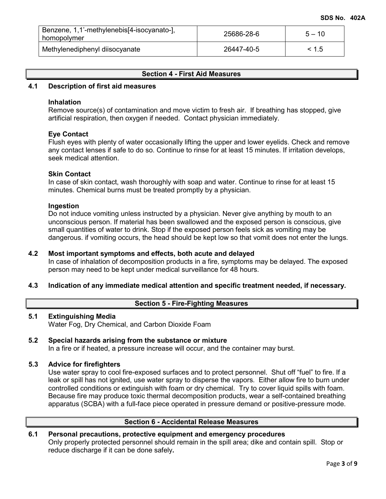| Benzene, 1,1'-methylenebis[4-isocyanato-],<br>homopolymer | 25686-28-6 | $5 - 10$ |
|-----------------------------------------------------------|------------|----------|
| Methylenediphenyl diisocyanate                            | 26447-40-5 | < 1.5    |

### **Section 4 - First Aid Measures**

### **4.1 Description of first aid measures**

### **Inhalation**

Remove source(s) of contamination and move victim to fresh air. If breathing has stopped, give artificial respiration, then oxygen if needed. Contact physician immediately.

### **Eye Contact**

Flush eyes with plenty of water occasionally lifting the upper and lower eyelids. Check and remove any contact lenses if safe to do so. Continue to rinse for at least 15 minutes. If irritation develops, seek medical attention.

### **Skin Contact**

In case of skin contact, wash thoroughly with soap and water. Continue to rinse for at least 15 minutes. Chemical burns must be treated promptly by a physician.

### **Ingestion**

Do not induce vomiting unless instructed by a physician. Never give anything by mouth to an unconscious person. If material has been swallowed and the exposed person is conscious, give small quantities of water to drink. Stop if the exposed person feels sick as vomiting may be dangerous. if vomiting occurs, the head should be kept low so that vomit does not enter the lungs.

### **4.2 Most important symptoms and effects, both acute and delayed**

In case of inhalation of decomposition products in a fire, symptoms may be delayed. The exposed person may need to be kept under medical surveillance for 48 hours.

### **4.3 Indication of any immediate medical attention and specific treatment needed, if necessary.**

### **Section 5 - Fire-Fighting Measures**

### **5.1 Extinguishing Media**

Water Fog, Dry Chemical, and Carbon Dioxide Foam

## **5.2 Special hazards arising from the substance or mixture**

In a fire or if heated, a pressure increase will occur, and the container may burst.

### **5.3 Advice for firefighters**

Use water spray to cool fire-exposed surfaces and to protect personnel. Shut off "fuel" to fire. If a leak or spill has not ignited, use water spray to disperse the vapors. Either allow fire to burn under controlled conditions or extinguish with foam or dry chemical. Try to cover liquid spills with foam. Because fire may produce toxic thermal decomposition products, wear a self-contained breathing apparatus (SCBA) with a full-face piece operated in pressure demand or positive-pressure mode.

### **Section 6 - Accidental Release Measures**

### **6.1 Personal precautions, protective equipment and emergency procedures**

Only properly protected personnel should remain in the spill area; dike and contain spill. Stop or reduce discharge if it can be done safely**.**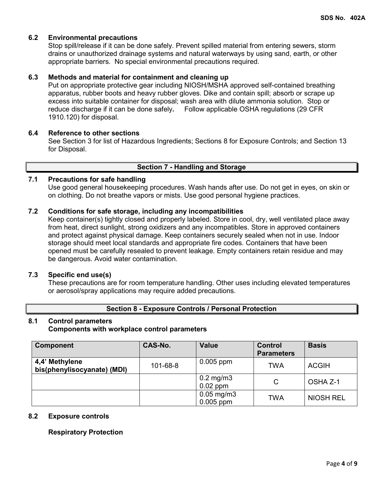### **6.2 Environmental precautions**

Stop spill/release if it can be done safely. Prevent spilled material from entering sewers, storm drains or unauthorized drainage systems and natural waterways by using sand, earth, or other appropriate barriers.No special environmental precautions required.

### **6.3 Methods and material for containment and cleaning up**

Put on appropriate protective gear including NIOSH/MSHA approved self-contained breathing apparatus, rubber boots and heavy rubber gloves. Dike and contain spill; absorb or scrape up excess into suitable container for disposal; wash area with dilute ammonia solution. Stop or reduce discharge if it can be done safely**.** Follow applicable OSHA regulations (29 CFR 1910.120) for disposal.

### **6.4 Reference to other sections**

See Section 3 for list of Hazardous Ingredients; Sections 8 for Exposure Controls; and Section 13 for Disposal.

### **Section 7 - Handling and Storage**

### **7.1 Precautions for safe handling**

Use good general housekeeping procedures. Wash hands after use. Do not get in eyes, on skin or on clothing. Do not breathe vapors or mists. Use good personal hygiene practices.

### **7.2 Conditions for safe storage, including any incompatibilities**

Keep container(s) tightly closed and properly labeled. Store in cool, dry, well ventilated place away from heat, direct sunlight, strong oxidizers and any incompatibles. Store in approved containers and protect against physical damage. Keep containers securely sealed when not in use. Indoor storage should meet local standards and appropriate fire codes. Containers that have been opened must be carefully resealed to prevent leakage. Empty containers retain residue and may be dangerous. Avoid water contamination.

### **7.3 Specific end use(s)**

These precautions are for room temperature handling. Other uses including elevated temperatures or aerosol/spray applications may require added precautions.

### **Section 8 - Exposure Controls / Personal Protection**

# **8.1 Control parameters**

### **Components with workplace control parameters**

| <b>Component</b>                              | CAS-No.  | <b>Value</b>                   | Control<br><b>Parameters</b> | <b>Basis</b>     |
|-----------------------------------------------|----------|--------------------------------|------------------------------|------------------|
| 4,4' Methylene<br>bis(phenylisocyanate) (MDI) | 101-68-8 | $0.005$ ppm                    | TWA                          | <b>ACGIH</b>     |
|                                               |          | $0.2$ mg/m $3$<br>$0.02$ ppm   | C                            | OSHA Z-1         |
|                                               |          | $0.05$ mg/m $3$<br>$0.005$ ppm | TWA                          | <b>NIOSH REL</b> |

### **8.2 Exposure controls**

### **Respiratory Protection**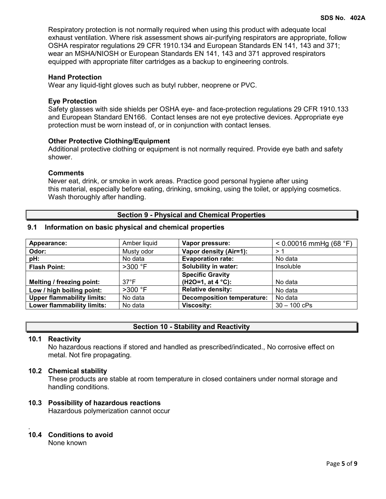Respiratory protection is not normally required when using this product with adequate local exhaust ventilation. Where risk assessment shows air-purifying respirators are appropriate, follow OSHA respirator regulations 29 CFR 1910.134 and European Standards EN 141, 143 and 371; wear an MSHA/NIOSH or European Standards EN 141, 143 and 371 approved respirators equipped with appropriate filter cartridges as a backup to engineering controls.

### **Hand Protection**

Wear any liquid-tight gloves such as butyl rubber, neoprene or PVC.

### **Eye Protection**

Safety glasses with side shields per OSHA eye- and face-protection regulations 29 CFR 1910.133 and European Standard EN166. Contact lenses are not eye protective devices. Appropriate eye protection must be worn instead of, or in conjunction with contact lenses.

### **Other Protective Clothing/Equipment**

Additional protective clothing or equipment is not normally required. Provide eye bath and safety shower.

### **Comments**

Never eat, drink, or smoke in work areas. Practice good personal hygiene after using this material, especially before eating, drinking, smoking, using the toilet, or applying cosmetics. Wash thoroughly after handling.

### **Section 9 - Physical and Chemical Properties**

### **9.1 Information on basic physical and chemical properties**

| Appearance:                       | Amber liquid   | Vapor pressure:                   | $< 0.00016$ mmHg (68 °F) |
|-----------------------------------|----------------|-----------------------------------|--------------------------|
| Odor:                             | Musty odor     | Vapor density (Air=1):            | > 1                      |
| pH:                               | No data        | <b>Evaporation rate:</b>          | No data                  |
| <b>Flash Point:</b>               | $>300$ °F      | <b>Solubility in water:</b>       | Insoluble                |
|                                   |                | <b>Specific Gravity</b>           |                          |
| Melting / freezing point:         | $37^{\circ}$ F | $(H2O=1, at 4 °C)$ :              | No data                  |
| Low / high boiling point:         | $>300$ °F      | <b>Relative density:</b>          | No data                  |
| <b>Upper flammability limits:</b> | No data        | <b>Decomposition temperature:</b> | No data                  |
| <b>Lower flammability limits:</b> | No data        | <b>Viscosity:</b>                 | $30 - 100$ cPs           |

### **Section 10 - Stability and Reactivity**

### **10.1 Reactivity**

No hazardous reactions if stored and handled as prescribed/indicated., No corrosive effect on metal. Not fire propagating.

### **10.2 Chemical stability**

These products are stable at room temperature in closed containers under normal storage and handling conditions.

### **10.3 Possibility of hazardous reactions**

Hazardous polymerization cannot occur

#### . **10.4 Conditions to avoid**

None known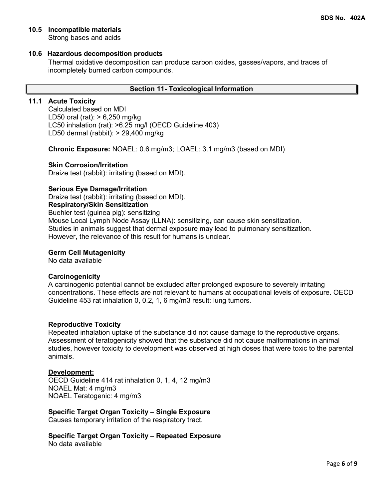### **10.5 Incompatible materials**

Strong bases and acids

### **10.6 Hazardous decomposition products**

Thermal oxidative decomposition can produce carbon oxides, gasses/vapors, and traces of incompletely burned carbon compounds.

### **Section 11- Toxicological Information**

### **11.1 Acute Toxicity**

Calculated based on MDI LD50 oral (rat): > 6,250 mg/kg LC50 inhalation (rat): >6.25 mg/l (OECD Guideline 403) LD50 dermal (rabbit): > 29,400 mg/kg

**Chronic Exposure:** NOAEL: 0.6 mg/m3; LOAEL: 3.1 mg/m3 (based on MDI)

### **Skin Corrosion/Irritation**

Draize test (rabbit): irritating (based on MDI).

### **Serious Eye Damage/Irritation**

Draize test (rabbit): irritating (based on MDI).

**Respiratory/Skin Sensitization**

Buehler test (guinea pig): sensitizing

Mouse Local Lymph Node Assay (LLNA): sensitizing, can cause skin sensitization. Studies in animals suggest that dermal exposure may lead to pulmonary sensitization. However, the relevance of this result for humans is unclear.

### **Germ Cell Mutagenicity**

No data available

### **Carcinogenicity**

A carcinogenic potential cannot be excluded after prolonged exposure to severely irritating concentrations. These effects are not relevant to humans at occupational levels of exposure. OECD Guideline 453 rat inhalation 0, 0.2, 1, 6 mg/m3 result: lung tumors.

### **Reproductive Toxicity**

Repeated inhalation uptake of the substance did not cause damage to the reproductive organs. Assessment of teratogenicity showed that the substance did not cause malformations in animal studies, however toxicity to development was observed at high doses that were toxic to the parental animals.

### **Development:**

OECD Guideline 414 rat inhalation 0, 1, 4, 12 mg/m3 NOAEL Mat: 4 mg/m3 NOAEL Teratogenic: 4 mg/m3

**Specific Target Organ Toxicity – Single Exposure** Causes temporary irritation of the respiratory tract.

**Specific Target Organ Toxicity – Repeated Exposure**

No data available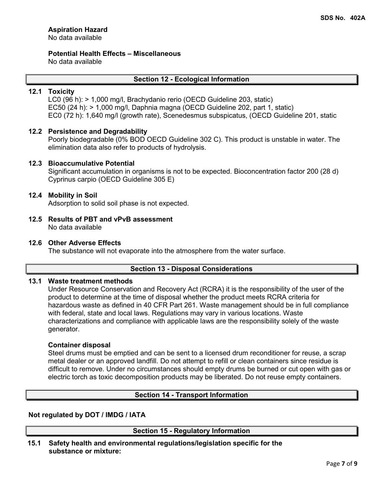### **Aspiration Hazard**

No data available

**Potential Health Effects – Miscellaneous**

No data available

### **Section 12 - Ecological Information**

### **12.1 Toxicity**

LC0 (96 h): > 1,000 mg/l, Brachydanio rerio (OECD Guideline 203, static) EC50 (24 h): > 1,000 mg/l, Daphnia magna (OECD Guideline 202, part 1, static) EC0 (72 h): 1,640 mg/l (growth rate), Scenedesmus subspicatus, (OECD Guideline 201, static

### **12.2 Persistence and Degradability**

Poorly biodegradable (0% BOD OECD Guideline 302 C). This product is unstable in water. The elimination data also refer to products of hydrolysis.

### **12.3 Bioaccumulative Potential**

Significant accumulation in organisms is not to be expected. Bioconcentration factor 200 (28 d) Cyprinus carpio (OECD Guideline 305 E)

### **12.4 Mobility in Soil**

Adsorption to solid soil phase is not expected.

### **12.5 Results of PBT and vPvB assessment** No data available

### **12.6 Other Adverse Effects**

The substance will not evaporate into the atmosphere from the water surface.

### **Section 13 - Disposal Considerations**

### **13.1 Waste treatment methods**

Under Resource Conservation and Recovery Act (RCRA) it is the responsibility of the user of the product to determine at the time of disposal whether the product meets RCRA criteria for hazardous waste as defined in 40 CFR Part 261. Waste management should be in full compliance with federal, state and local laws. Regulations may vary in various locations. Waste characterizations and compliance with applicable laws are the responsibility solely of the waste generator.

### **Container disposal**

Steel drums must be emptied and can be sent to a licensed drum reconditioner for reuse, a scrap metal dealer or an approved landfill. Do not attempt to refill or clean containers since residue is difficult to remove. Under no circumstances should empty drums be burned or cut open with gas or electric torch as toxic decomposition products may be liberated. Do not reuse empty containers.

### **Section 14 - Transport Information**

### **Not regulated by DOT / IMDG / IATA**

### **Section 15 - Regulatory Information**

**15.1 Safety health and environmental regulations/legislation specific for the substance or mixture:**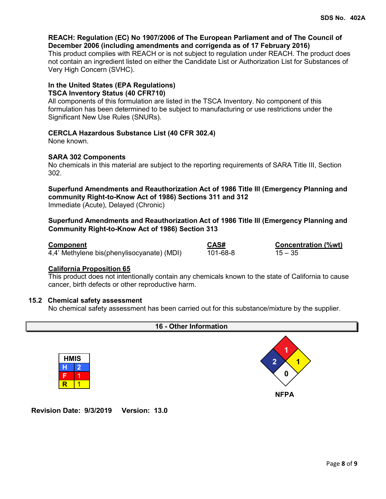### **REACH: Regulation (EC) No 1907/2006 of The European Parliament and of The Council of December 2006 (including amendments and corrigenda as of 17 February 2016)**

This product complies with REACH or is not subject to regulation under REACH. The product does not contain an ingredient listed on either the Candidate List or Authorization List for Substances of Very High Concern (SVHC).

### **In the United States (EPA Regulations)**

### **TSCA Inventory Status (40 CFR710)**

All components of this formulation are listed in the TSCA Inventory. No component of this formulation has been determined to be subject to manufacturing or use restrictions under the Significant New Use Rules (SNURs).

### **CERCLA Hazardous Substance List (40 CFR 302.4)**

None known.

### **SARA 302 Components**

No chemicals in this material are subject to the reporting requirements of SARA Title III, Section 302.

**Superfund Amendments and Reauthorization Act of 1986 Title lll (Emergency Planning and community Right-to-Know Act of 1986) Sections 311 and 312** Immediate (Acute), Delayed (Chronic)

### **Superfund Amendments and Reauthorization Act of 1986 Title lll (Emergency Planning and Community Right-to-Know Act of 1986) Section 313**

4,4' Methylene bis(phenylisocyanate) (MDI)

**Component**<br>4.4' Methylene bis(phenylisocyanate) (MDI)  $\overline{101-68-8}$   $\overline{201}$   $\overline{15-35}$ 

### **California Proposition 65**

This product does not intentionally contain any chemicals known to the state of California to cause cancer, birth defects or other reproductive harm.

### **15.2 Chemical safety assessment**

No chemical safety assessment has been carried out for this substance/mixture by the supplier.



**Revision Date: 9/3/2019 Version: 13.0**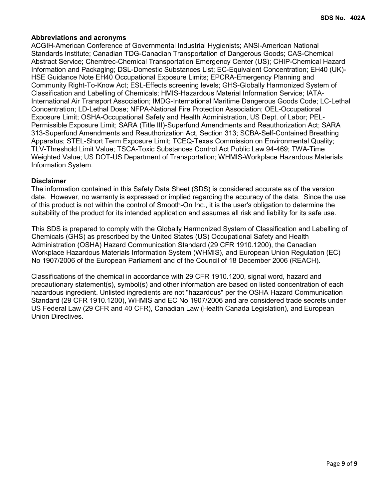### **Abbreviations and acronyms**

ACGIH-American Conference of Governmental Industrial Hygienists; ANSI-American National Standards Institute; Canadian TDG-Canadian Transportation of Dangerous Goods; CAS-Chemical Abstract Service; Chemtrec-Chemical Transportation Emergency Center (US); CHIP-Chemical Hazard Information and Packaging; DSL-Domestic Substances List; EC-Equivalent Concentration; EH40 (UK)- HSE Guidance Note EH40 Occupational Exposure Limits; EPCRA-Emergency Planning and Community Right-To-Know Act; ESL-Effects screening levels; GHS-Globally Harmonized System of Classification and Labelling of Chemicals; HMIS-Hazardous Material Information Service; IATA-International Air Transport Association; IMDG-International Maritime Dangerous Goods Code; LC-Lethal Concentration; LD-Lethal Dose; NFPA-National Fire Protection Association; OEL-Occupational Exposure Limit; OSHA-Occupational Safety and Health Administration, US Dept. of Labor; PEL-Permissible Exposure Limit; SARA (Title III)-Superfund Amendments and Reauthorization Act; SARA 313-Superfund Amendments and Reauthorization Act, Section 313; SCBA-Self-Contained Breathing Apparatus; STEL-Short Term Exposure Limit; TCEQ-Texas Commission on Environmental Quality; TLV-Threshold Limit Value; TSCA-Toxic Substances Control Act Public Law 94-469; TWA-Time Weighted Value; US DOT-US Department of Transportation; WHMIS-Workplace Hazardous Materials Information System.

### **Disclaimer**

The information contained in this Safety Data Sheet (SDS) is considered accurate as of the version date. However, no warranty is expressed or implied regarding the accuracy of the data. Since the use of this product is not within the control of Smooth-On Inc., it is the user's obligation to determine the suitability of the product for its intended application and assumes all risk and liability for its safe use.

This SDS is prepared to comply with the Globally Harmonized System of Classification and Labelling of Chemicals (GHS) as prescribed by the United States (US) Occupational Safety and Health Administration (OSHA) Hazard Communication Standard (29 CFR 1910.1200), the Canadian Workplace Hazardous Materials Information System (WHMIS), and European Union Regulation (EC) No 1907/2006 of the European Parliament and of the Council of 18 December 2006 (REACH).

Classifications of the chemical in accordance with 29 CFR 1910.1200, signal word, hazard and precautionary statement(s), symbol(s) and other information are based on listed concentration of each hazardous ingredient. Unlisted ingredients are not "hazardous" per the OSHA Hazard Communication Standard (29 CFR 1910.1200), WHMIS and EC No 1907/2006 and are considered trade secrets under US Federal Law (29 CFR and 40 CFR), Canadian Law (Health Canada Legislation), and European Union Directives.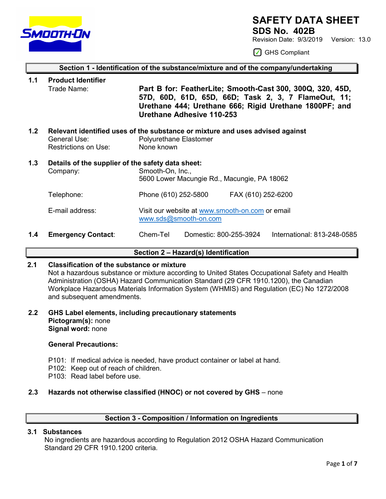

### **SAFETY DATA SHEET**

**SDS No. 402B** 

Revision Date: 9/3/2019 Version: 13.0

◯ GHS Compliant

### **Section 1 - Identification of the substance/mixture and of the company/undertaking 1.1 Product Identifier** Trade Name: **Part B for: FeatherLite; Smooth-Cast 300, 300Q, 320, 45D,**

**57D, 60D, 61D, 65D, 66D; Task 2, 3, 7 FlameOut, 11; Urethane 444; Urethane 666; Rigid Urethane 1800PF; and Urethane Adhesive 110-253**

**1.2 Relevant identified uses of the substance or mixture and uses advised against**  Polyurethane Elastomer Restrictions on Use: None known

### **1.3 Details of the supplier of the safety data sheet:** Company: Smooth-On, Inc., 5600 Lower Macungie Rd., Macungie, PA 18062 Telephone: Phone (610) 252-5800 FAX (610) 252-6200

### E-mail address: Visit our website at [www.smooth-on.com](http://www.smooth-on.com/) or email [www.sds@smooth-on.com](http://www.sds@smooth-on.com)

**1.4 Emergency Contact**: Chem-Tel Domestic: 800-255-3924 International: 813-248-0585

### **Section 2 – Hazard(s) Identification**

### **2.1 Classification of the substance or mixture**

Not a hazardous substance or mixture according to United States Occupational Safety and Health Administration (OSHA) Hazard Communication Standard (29 CFR 1910.1200), the Canadian Workplace Hazardous Materials Information System (WHMIS) and Regulation (EC) No 1272/2008 and subsequent amendments.

**2.2 GHS Label elements, including precautionary statements Pictogram(s):** none **Signal word:** none

### **General Precautions:**

- P101: If medical advice is needed, have product container or label at hand.
- P102: Keep out of reach of children.
- P103: Read label before use.

### **2.3 Hazards not otherwise classified (HNOC) or not covered by GHS** – none

### **Section 3 - Composition / Information on Ingredients**

### **3.1 Substances**

 No ingredients are hazardous according to Regulation 2012 OSHA Hazard Communication Standard 29 CFR 1910.1200 criteria.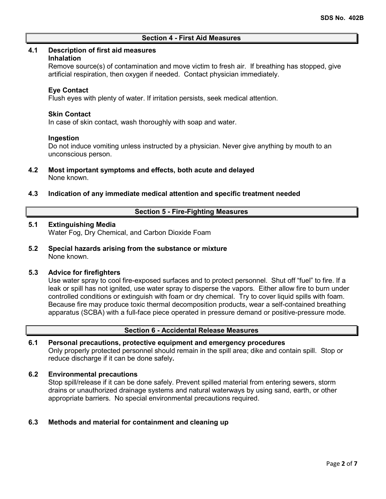### **Section 4 - First Aid Measures**

### **4.1 Description of first aid measures**

### **Inhalation**

Remove source(s) of contamination and move victim to fresh air. If breathing has stopped, give artificial respiration, then oxygen if needed. Contact physician immediately.

### **Eye Contact**

Flush eyes with plenty of water. If irritation persists, seek medical attention.

### **Skin Contact**

In case of skin contact, wash thoroughly with soap and water.

### **Ingestion**

Do not induce vomiting unless instructed by a physician. Never give anything by mouth to an unconscious person.

- **4.2 Most important symptoms and effects, both acute and delayed** None known.
- **4.3 Indication of any immediate medical attention and specific treatment needed**

### **Section 5 - Fire-Fighting Measures**

### **5.1 Extinguishing Media**

Water Fog, Dry Chemical, and Carbon Dioxide Foam

**5.2 Special hazards arising from the substance or mixture** None known.

### **5.3 Advice for firefighters**

Use water spray to cool fire-exposed surfaces and to protect personnel. Shut off "fuel" to fire. If a leak or spill has not ignited, use water spray to disperse the vapors. Either allow fire to burn under controlled conditions or extinguish with foam or dry chemical. Try to cover liquid spills with foam. Because fire may produce toxic thermal decomposition products, wear a self-contained breathing apparatus (SCBA) with a full-face piece operated in pressure demand or positive-pressure mode.

### **Section 6 - Accidental Release Measures**

### **6.1 Personal precautions, protective equipment and emergency procedures**

Only properly protected personnel should remain in the spill area; dike and contain spill. Stop or reduce discharge if it can be done safely**.**

### **6.2 Environmental precautions**

Stop spill/release if it can be done safely. Prevent spilled material from entering sewers, storm drains or unauthorized drainage systems and natural waterways by using sand, earth, or other appropriate barriers.No special environmental precautions required.

### **6.3 Methods and material for containment and cleaning up**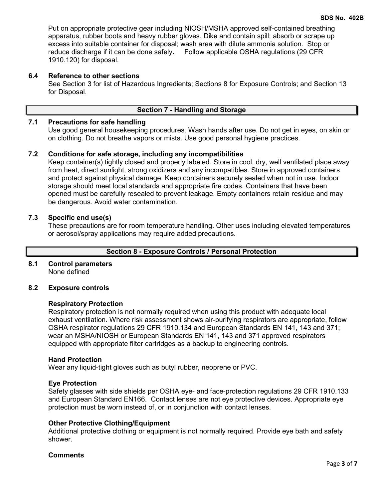Put on appropriate protective gear including NIOSH/MSHA approved self-contained breathing apparatus, rubber boots and heavy rubber gloves. Dike and contain spill; absorb or scrape up excess into suitable container for disposal; wash area with dilute ammonia solution. Stop or reduce discharge if it can be done safely**.** Follow applicable OSHA regulations (29 CFR 1910.120) for disposal.

### **6.4 Reference to other sections**

See Section 3 for list of Hazardous Ingredients; Sections 8 for Exposure Controls; and Section 13 for Disposal.

### **Section 7 - Handling and Storage**

### **7.1 Precautions for safe handling**

Use good general housekeeping procedures. Wash hands after use. Do not get in eyes, on skin or on clothing. Do not breathe vapors or mists. Use good personal hygiene practices.

### **7.2 Conditions for safe storage, including any incompatibilities**

Keep container(s) tightly closed and properly labeled. Store in cool, dry, well ventilated place away from heat, direct sunlight, strong oxidizers and any incompatibles. Store in approved containers and protect against physical damage. Keep containers securely sealed when not in use. Indoor storage should meet local standards and appropriate fire codes. Containers that have been opened must be carefully resealed to prevent leakage. Empty containers retain residue and may be dangerous. Avoid water contamination.

### **7.3 Specific end use(s)**

These precautions are for room temperature handling. Other uses including elevated temperatures or aerosol/spray applications may require added precautions.

### **Section 8 - Exposure Controls / Personal Protection**

### **8.1 Control parameters** None defined

### **8.2 Exposure controls**

### **Respiratory Protection**

Respiratory protection is not normally required when using this product with adequate local exhaust ventilation. Where risk assessment shows air-purifying respirators are appropriate, follow OSHA respirator regulations 29 CFR 1910.134 and European Standards EN 141, 143 and 371; wear an MSHA/NIOSH or European Standards EN 141, 143 and 371 approved respirators equipped with appropriate filter cartridges as a backup to engineering controls.

### **Hand Protection**

Wear any liquid-tight gloves such as butyl rubber, neoprene or PVC.

### **Eye Protection**

Safety glasses with side shields per OSHA eye- and face-protection regulations 29 CFR 1910.133 and European Standard EN166. Contact lenses are not eye protective devices. Appropriate eye protection must be worn instead of, or in conjunction with contact lenses.

### **Other Protective Clothing/Equipment**

Additional protective clothing or equipment is not normally required. Provide eye bath and safety shower.

### **Comments**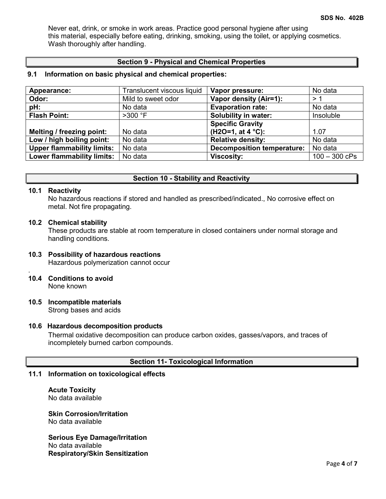Never eat, drink, or smoke in work areas. Practice good personal hygiene after using this material, especially before eating, drinking, smoking, using the toilet, or applying cosmetics. Wash thoroughly after handling.

### **Section 9 - Physical and Chemical Properties**

### **9.1 Information on basic physical and chemical properties:**

| Appearance:                       | Translucent viscous liquid | Vapor pressure:                   | No data         |
|-----------------------------------|----------------------------|-----------------------------------|-----------------|
| Odor:                             | Mild to sweet odor         | Vapor density (Air=1):            | >1              |
| pH:                               | No data                    | <b>Evaporation rate:</b>          | No data         |
| <b>Flash Point:</b>               | $>300$ °F                  | Solubility in water:              | Insoluble       |
|                                   |                            | <b>Specific Gravity</b>           |                 |
| Melting / freezing point:         | No data                    | $(H2O=1, at 4 °C)$ :              | 1.07            |
| Low / high boiling point:         | No data                    | <b>Relative density:</b>          | No data         |
| <b>Upper flammability limits:</b> | No data                    | <b>Decomposition temperature:</b> | No data         |
| <b>Lower flammability limits:</b> | No data                    | <b>Viscosity:</b>                 | $100 - 300$ cPs |

### **Section 10 - Stability and Reactivity**

### **10.1 Reactivity**

.

No hazardous reactions if stored and handled as prescribed/indicated., No corrosive effect on metal. Not fire propagating.

### **10.2 Chemical stability**

These products are stable at room temperature in closed containers under normal storage and handling conditions.

### **10.3 Possibility of hazardous reactions** Hazardous polymerization cannot occur

### **10.4 Conditions to avoid**

None known

### **10.5 Incompatible materials**

Strong bases and acids

### **10.6 Hazardous decomposition products**

Thermal oxidative decomposition can produce carbon oxides, gasses/vapors, and traces of incompletely burned carbon compounds.

### **Section 11- Toxicological Information**

### **11.1 Information on toxicological effects**

**Acute Toxicity** No data available

**Skin Corrosion/Irritation** No data available

**Serious Eye Damage/Irritation** No data available **Respiratory/Skin Sensitization**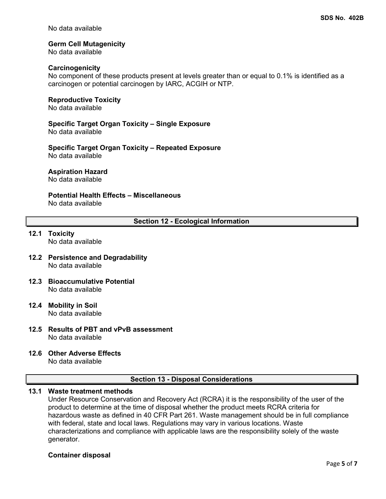No data available

### **Germ Cell Mutagenicity**

No data available

#### **Carcinogenicity**

No component of these products present at levels greater than or equal to 0.1% is identified as a carcinogen or potential carcinogen by IARC, ACGIH or NTP.

#### **Reproductive Toxicity**

No data available

### **Specific Target Organ Toxicity – Single Exposure**

No data available

**Specific Target Organ Toxicity – Repeated Exposure** No data available

#### **Aspiration Hazard**

No data available

### **Potential Health Effects – Miscellaneous**

No data available

### **Section 12 - Ecological Information**

### **12.1 Toxicity** No data available

- **12.2 Persistence and Degradability** No data available
- **12.3 Bioaccumulative Potential** No data available
- **12.4 Mobility in Soil** No data available
- **12.5 Results of PBT and vPvB assessment** No data available
- **12.6 Other Adverse Effects**

No data available

### **Section 13 - Disposal Considerations**

### **13.1 Waste treatment methods**

Under Resource Conservation and Recovery Act (RCRA) it is the responsibility of the user of the product to determine at the time of disposal whether the product meets RCRA criteria for hazardous waste as defined in 40 CFR Part 261. Waste management should be in full compliance with federal, state and local laws. Regulations may vary in various locations. Waste characterizations and compliance with applicable laws are the responsibility solely of the waste generator.

### **Container disposal**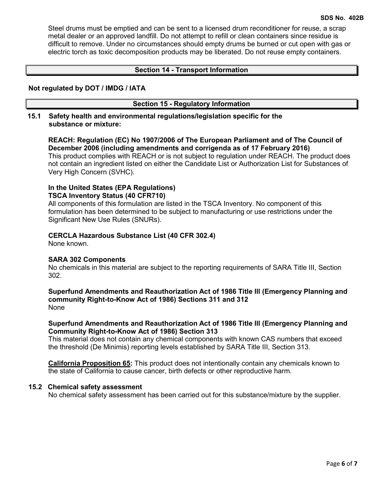Steel drums must be emptied and can be sent to a licensed drum reconditioner for reuse, a scrap metal dealer or an approved landfill. Do not attempt to refill or clean containers since residue is difficult to remove. Under no circumstances should empty drums be burned or cut open with gas or electric torch as toxic decomposition products may be liberated. Do not reuse empty containers.

### **Section 14 - Transport Information**

### **Not regulated by DOT / IMDG / IATA**

### **Section 15 - Regulatory Information**

### **15.1 Safety health and environmental regulations/legislation specific for the substance or mixture:**

### **REACH: Regulation (EC) No 1907/2006 of The European Parliament and of The Council of December 2006 (including amendments and corrigenda as of 17 February 2016)**

This product complies with REACH or is not subject to regulation under REACH. The product does not contain an ingredient listed on either the Candidate List or Authorization List for Substances of Very High Concern (SVHC).

### **In the United States (EPA Regulations) TSCA Inventory Status (40 CFR710)**

All components of this formulation are listed in the TSCA Inventory. No component of this formulation has been determined to be subject to manufacturing or use restrictions under the Significant New Use Rules (SNURs).

### **CERCLA Hazardous Substance List (40 CFR 302.4)**

None known.

### **SARA 302 Components**

No chemicals in this material are subject to the reporting requirements of SARA Title III, Section 302.

### **Superfund Amendments and Reauthorization Act of 1986 Title lll (Emergency Planning and community Right-to-Know Act of 1986) Sections 311 and 312** None

### **Superfund Amendments and Reauthorization Act of 1986 Title lll (Emergency Planning and Community Right-to-Know Act of 1986) Section 313**

This material does not contain any chemical components with known CAS numbers that exceed the threshold (De Minimis) reporting levels established by SARA Title III, Section 313.

**California Proposition 65:** This product does not intentionally contain any chemicals known to the state of California to cause cancer, birth defects or other reproductive harm.

### **15.2 Chemical safety assessment**

No chemical safety assessment has been carried out for this substance/mixture by the supplier.